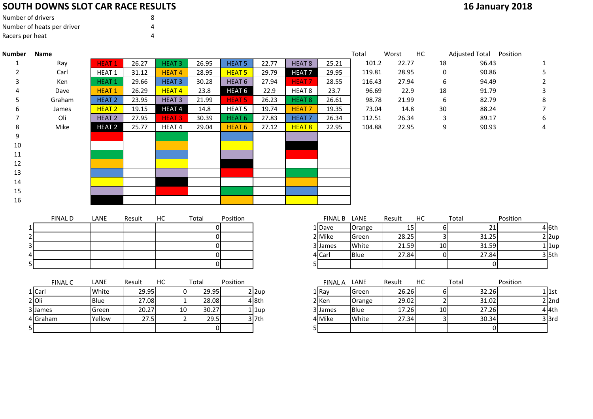### **SOUTH DOWNS SLOT CAR RACE RESULTS**

| Number of drivers          |  |
|----------------------------|--|
| Number of heats per driver |  |
| Racers per heat            |  |

5

| <b>16 January 2018</b> |  |
|------------------------|--|
|------------------------|--|

| <b>Number</b> | <b>Name</b>    |                   |        |                   |       |                   |       |                   |                | Total  | Worst  | HC             | Adjusted Total Position |          |           |
|---------------|----------------|-------------------|--------|-------------------|-------|-------------------|-------|-------------------|----------------|--------|--------|----------------|-------------------------|----------|-----------|
| 1             | Ray            | <b>HEAT1</b>      | 26.27  | HEAT <sub>3</sub> | 26.95 | <b>HEAT 5</b>     | 22.77 | HEAT 8            | 25.21          | 101.2  | 22.77  | 18             | 96.43                   |          |           |
|               | Carl           | HEAT 1            | 31.12  | <b>HEAT4</b>      | 28.95 | <b>HEAT 5</b>     | 29.79 | <b>HEAT 7</b>     | 29.95          | 119.81 | 28.95  | 0              | 90.86                   |          | 5.        |
|               | Ken            | HEAT <sub>1</sub> | 29.66  | HEAT <sub>3</sub> | 30.28 | HEAT <sub>6</sub> | 27.94 | HEAT <sub>7</sub> | 28.55          | 116.43 | 27.94  | 6              | 94.49                   |          |           |
|               | Dave           | <b>HEAT1</b>      | 26.29  | <b>HEAT4</b>      | 23.8  | HEAT <sub>6</sub> | 22.9  | HEAT 8            | 23.7           | 96.69  | 22.9   | 18             | 91.79                   |          | 3         |
|               | Graham         | <b>HEAT 2</b>     | 23.95  | HEAT <sub>3</sub> | 21.99 | <b>HEAT 5</b>     | 26.23 | HEAT 8            | 26.61          | 98.78  | 21.99  | 6              | 82.79                   |          | 8         |
| 6             | James          | <b>HEAT 2</b>     | 19.15  | <b>HEAT4</b>      | 14.8  | <b>HEAT 5</b>     | 19.74 | <b>HEAT7</b>      | 19.35          | 73.04  | 14.8   | 30             | 88.24                   |          |           |
|               | Oli            | HEAT <sub>2</sub> | 27.95  | <b>HEAT3</b>      | 30.39 | HEAT <sub>6</sub> | 27.83 | HEAT <sub>7</sub> | 26.34          | 112.51 | 26.34  | 3              | 89.17                   |          | 6         |
| 8             | Mike           | <b>HEAT 2</b>     | 25.77  | HEAT 4            | 29.04 | HEAT <sub>6</sub> | 27.12 | HEAT 8            | 22.95          | 104.88 | 22.95  | 9              | 90.93                   |          | 4         |
| 9             |                |                   |        |                   |       |                   |       |                   |                |        |        |                |                         |          |           |
| 10            |                |                   |        |                   |       |                   |       |                   |                |        |        |                |                         |          |           |
| 11            |                |                   |        |                   |       |                   |       |                   |                |        |        |                |                         |          |           |
| 12            |                |                   |        |                   |       |                   |       |                   |                |        |        |                |                         |          |           |
| 13            |                |                   |        |                   |       |                   |       |                   |                |        |        |                |                         |          |           |
| 14            |                |                   |        |                   |       |                   |       |                   |                |        |        |                |                         |          |           |
| 15            |                |                   |        |                   |       |                   |       |                   |                |        |        |                |                         |          |           |
| 16            |                |                   |        |                   |       |                   |       |                   |                |        |        |                |                         |          |           |
|               |                |                   |        |                   |       |                   |       |                   |                |        |        |                |                         |          |           |
|               | <b>FINAL D</b> | LANE              | Result | HC                | Total | Position          |       |                   | <b>FINAL B</b> | LANE   | Result | НC             | Total                   | Position |           |
|               |                |                   |        |                   | 01    |                   |       |                   | 1 Dave         | Orange | 15     | 61             | 21                      |          | 4 6th     |
|               |                |                   |        |                   | 01    |                   |       |                   | 2 Mike         | Green  | 28.25  | 3 <sub>l</sub> | 31.25                   |          | $2$  2up  |
|               |                |                   |        |                   | 0     |                   |       |                   | 3 James        | White  | 21.59  | 10             | 31.59                   |          | $1$   1up |
|               |                |                   |        |                   | 0     |                   |       |                   | 4 Carl         | Blue   | 27.84  | 0              | 27.84                   |          | $3$ 5th   |

|          | <b>FINAL C</b> | LANE        | Result | НC              | Total | Position |         | <b>FINAL A</b> | LANE        | Result | НC  | Total |
|----------|----------------|-------------|--------|-----------------|-------|----------|---------|----------------|-------------|--------|-----|-------|
| 1 Carl   |                | White       | 29.95  |                 | 29.95 |          | 2 2up   | 1   Rav        | Green       | 26.26  |     | 32.26 |
| $2$ Oli  |                | <b>Blue</b> | 27.08  |                 | 28.08 |          | 4 8th   | 2 Ken          | Orange      | 29.02  |     | 31.02 |
| 3 James  |                | Green       | 20.27  | 10 <sup>1</sup> | 30.27 |          | 1 lup   | 3 James        | <b>Blue</b> | 17.26  | 10I | 27.26 |
| 4 Graham |                | Yellow      | 27.5   |                 | 29.5  |          | $3$ 7th | 4 Mike         | White       | 27.34  |     | 30.34 |
| 51       |                |             |        |                 |       |          |         |                |             |        |     |       |

|                |             |        |    | ΩI    |          |              |                |             |        |                 |       |          |           |
|----------------|-------------|--------|----|-------|----------|--------------|----------------|-------------|--------|-----------------|-------|----------|-----------|
| <b>FINAL C</b> | LANE        | Result | НC | Total | Position |              | <b>FINAL A</b> | LANE        | Result | HC              | Total | Position |           |
| 1 Carl         | White       | 29.95  |    | 29.95 |          | $2 \times 2$ | L Rav          | Green       | 26.26  |                 | 32.26 |          | 1 l 1st   |
| 2Oli           | <b>Blue</b> | 27.08  |    | 28.08 |          | 4 8th        | 2 Ken          | Orange      | 29.02  |                 | 31.02 |          | $2$ 2nd   |
| 3 James        | Green       | 20.27  | 10 | 30.27 |          | 1 1up        | 3 IJames       | <b>Blue</b> | 17.26  | 10 <sup>1</sup> | 27.26 |          | 4 4th     |
| 4 Graham       | Yellow      | 27.5   |    | 29.5  |          | $3$ 7th      | 4 Mike         | White       | 27.34  |                 | 30.34 |          | $3$ $3rd$ |
|                |             |        |    |       |          |              |                |             |        |                 |       |          |           |